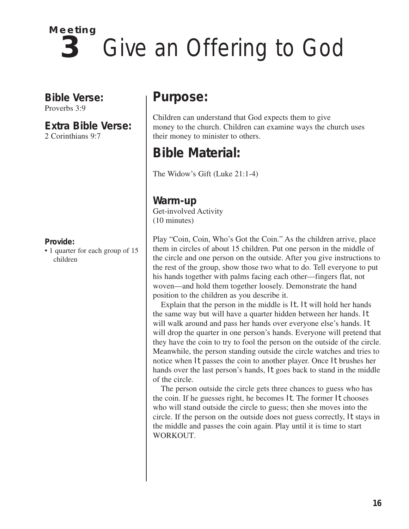

**Bible Verse:** Proverbs 3:9

**Extra Bible Verse:** 2 Corinthians 9:7

#### **Provide:**

• 1 quarter for each group of 15 children

# **Purpose:**

Children can understand that God expects them to give money to the church. Children can examine ways the church uses their money to minister to others.

# **Bible Material:**

The Widow's Gift (Luke 21:1-4)

**Warm-up** Get-involved Activity (10 minutes)

Play "Coin, Coin, Who's Got the Coin." As the children arrive, place them in circles of about 15 children. Put one person in the middle of the circle and one person on the outside. After you give instructions to the rest of the group, show those two what to do. Tell everyone to put his hands together with palms facing each other—fingers flat, not woven—and hold them together loosely. Demonstrate the hand position to the children as you describe it.

Explain that the person in the middle is *It. It* will hold her hands the same way but will have a quarter hidden between her hands. *It* will walk around and pass her hands over everyone else's hands. *It* will drop the quarter in one person's hands. Everyone will pretend that they have the coin to try to fool the person on the outside of the circle. Meanwhile, the person standing outside the circle watches and tries to notice when *It* passes the coin to another player. Once *It* brushes her hands over the last person's hands, *It* goes back to stand in the middle of the circle.

The person outside the circle gets three chances to guess who has the coin. If he guesses right, he becomes *It*. The former *It* chooses who will stand outside the circle to guess; then she moves into the circle. If the person on the outside does not guess correctly, *It* stays in the middle and passes the coin again. Play until it is time to start WORKOUT.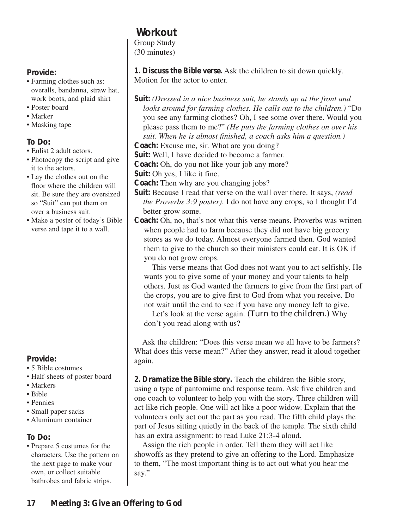# **Workout**

Group Study (30 minutes)

**1. Discuss the Bible verse.** Ask the children to sit down quickly. Motion for the actor to enter.

- **Suit:** *(Dressed in a nice business suit, he stands up at the front and looks around for farming clothes. He calls out to the children.)* "Do you see any farming clothes? Oh, I see some over there. Would you please pass them to me?" *(He puts the farming clothes on over his suit. When he is almost finished, a coach asks him a question.)*
- **Coach:** Excuse me, sir. What are you doing?
- **Suit:** Well, I have decided to become a farmer.
- **Coach:** Oh, do you not like your job any more?
- **Suit:** Oh yes, I like it fine.
- **Coach:** Then why are you changing jobs?
- **Suit:** Because I read that verse on the wall over there. It says, *(read the Proverbs 3:9 poster)*. I do not have any crops, so I thought I'd better grow some.
- **Coach:** Oh, no, that's not what this verse means. Proverbs was written when people had to farm because they did not have big grocery stores as we do today. Almost everyone farmed then. God wanted them to give to the church so their ministers could eat. It is OK if you do not grow crops.

This verse means that God does not want you to act selfishly. He wants you to give some of your money and your talents to help others. Just as God wanted the farmers to give from the first part of the crops, you are to give first to God from what you receive. Do not wait until the end to see if you have any money left to give.

Let's look at the verse again. *(Turn to the children.)* Why don't you read along with us?

Ask the children: "Does this verse mean we all have to be farmers? What does this verse mean?" After they answer, read it aloud together again.

**2. Dramatize the Bible story.** Teach the children the Bible story, using a type of pantomime and response team. Ask five children and one coach to volunteer to help you with the story. Three children will act like rich people. One will act like a poor widow. Explain that the volunteers only act out the part as you read. The fifth child plays the part of Jesus sitting quietly in the back of the temple. The sixth child has an extra assignment: to read Luke 21:3-4 aloud.

Assign the rich people in order. Tell them they will act like showoffs as they pretend to give an offering to the Lord. Emphasize to them, "The most important thing is to act out what you hear me say."

## **Provide:**

- Farming clothes such as: overalls, bandanna, straw hat, work boots, and plaid shirt
- Poster board
- Marker
- Masking tape

# **To Do:**

- Enlist 2 adult actors.
- Photocopy the script and give it to the actors.
- Lay the clothes out on the floor where the children will sit. Be sure they are oversized so "Suit" can put them on over a business suit.
- Make a poster of today's Bible verse and tape it to a wall.

# **Provide:**

- 5 Bible costumes
- Half-sheets of poster board
- Markers
- Bible
- Pennies
- Small paper sacks
- Aluminum container

# **To Do:**

• Prepare 5 costumes for the characters. Use the pattern on the next page to make your own, or collect suitable bathrobes and fabric strips.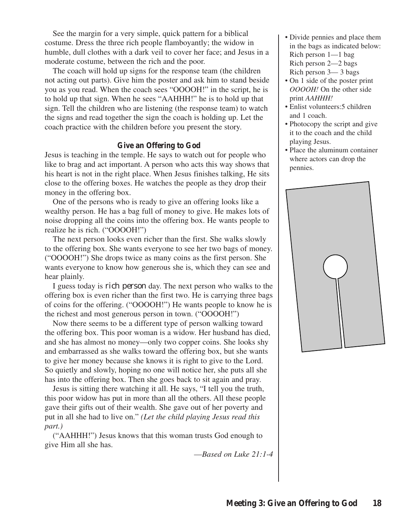See the margin for a very simple, quick pattern for a biblical costume. Dress the three rich people flamboyantly; the widow in humble, dull clothes with a dark veil to cover her face; and Jesus in a moderate costume, between the rich and the poor.

The coach will hold up signs for the response team (the children not acting out parts). Give him the poster and ask him to stand beside you as you read. When the coach sees "OOOOH!" in the script, he is to hold up that sign. When he sees "AAHHH!" he is to hold up that sign. Tell the children who are listening (the response team) to watch the signs and read together the sign the coach is holding up. Let the coach practice with the children before you present the story.

#### **Give an Offering to God**

Jesus is teaching in the temple. He says to watch out for people who like to brag and act important. A person who acts this way shows that his heart is not in the right place. When Jesus finishes talking, He sits close to the offering boxes. He watches the people as they drop their money in the offering box.

One of the persons who is ready to give an offering looks like a wealthy person. He has a bag full of money to give. He makes lots of noise dropping all the coins into the offering box. He wants people to realize he is rich. ("OOOOH!")

The next person looks even richer than the first. She walks slowly to the offering box. She wants everyone to see her two bags of money. ("OOOOH!") She drops twice as many coins as the first person. She wants everyone to know how generous she is, which they can see and hear plainly.

I guess today is *rich person* day. The next person who walks to the offering box is even richer than the first two. He is carrying three bags of coins for the offering. ("OOOOH!") He wants people to know he is the richest and most generous person in town. ("OOOOH!")

Now there seems to be a different type of person walking toward the offering box. This poor woman is a widow. Her husband has died, and she has almost no money—only two copper coins. She looks shy and embarrassed as she walks toward the offering box, but she wants to give her money because she knows it is right to give to the Lord. So quietly and slowly, hoping no one will notice her, she puts all she has into the offering box. Then she goes back to sit again and pray.

Jesus is sitting there watching it all. He says, "I tell you the truth, this poor widow has put in more than all the others. All these people gave their gifts out of their wealth. She gave out of her poverty and put in all she had to live on." *(Let the child playing Jesus read this part.)*

("AAHHH!") Jesus knows that this woman trusts God enough to give Him all she has.

*––Based on Luke 21:1-4*

- Divide pennies and place them in the bags as indicated below: Rich person 1—1 bag Rich person 2—2 bags Rich person 3— 3 bags
- On 1 side of the poster print *OOOOH!* On the other side print *AAHHH!*
- Enlist volunteers:5 children and 1 coach.
- Photocopy the script and give it to the coach and the child playing Jesus.
- Place the aluminum container where actors can drop the pennies.

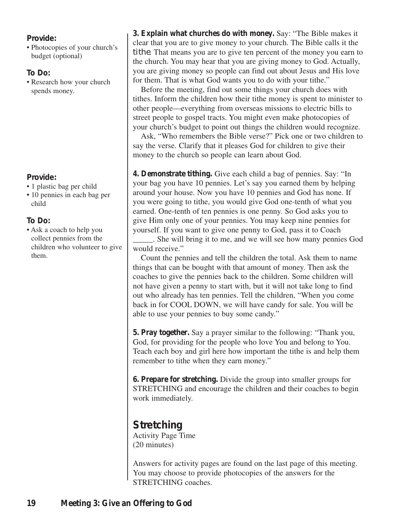### **Provide:**

• Photocopies of your church's budget (optional)

### **To Do:**

• Research how your church spends money.

### **Provide:**

- 1 plastic bag per child
- 10 pennies in each bag per child

### **To Do:**

• Ask a coach to help you collect pennies from the children who volunteer to give them.

**3. Explain what churches do with money.** Say: "The Bible makes it clear that you are to give money to your church. The Bible calls it the *tithe*. That means you are to give ten percent of the money you earn to the church. You may hear that you are giving money to God. Actually, you are giving money so people can find out about Jesus and His love for them. That is what God wants you to do with your tithe."

Before the meeting, find out some things your church does with tithes. Inform the children how their tithe money is spent to minister to other people—everything from overseas missions to electric bills to street people to gospel tracts. You might even make photocopies of your church's budget to point out things the children would recognize.

Ask, "Who remembers the Bible verse?" Pick one or two children to say the verse. Clarify that it pleases God for children to give their money to the church so people can learn about God.

**4. Demonstrate tithing.** Give each child a bag of pennies. Say: "In your bag you have 10 pennies. Let's say you earned them by helping around your house. Now you have 10 pennies and God has none. If you were going to tithe, you would give God one-tenth of what you earned. One-tenth of ten pennies is one penny. So God asks you to give Him only one of your pennies. You may keep nine pennies for yourself. If you want to give one penny to God, pass it to Coach

\_\_\_\_\_. She will bring it to me, and we will see how many pennies God would receive."

Count the pennies and tell the children the total. Ask them to name things that can be bought with that amount of money. Then ask the coaches to give the pennies back to the children. Some children will not have given a penny to start with, but it will not take long to find out who already has ten pennies. Tell the children, "When you come back in for COOL DOWN, we will have candy for sale. You will be able to use your pennies to buy some candy."

**5. Pray together.** Say a prayer similar to the following: "Thank you, God, for providing for the people who love You and belong to You. Teach each boy and girl here how important the tithe is and help them remember to tithe when they earn money."

**6. Prepare for stretching.** Divide the group into smaller groups for STRETCHING and encourage the children and their coaches to begin work immediately.

# **Stretching** Activity Page Time

(20 minutes)

Answers for activity pages are found on the last page of this meeting. You may choose to provide photocopies of the answers for the STRETCHING coaches.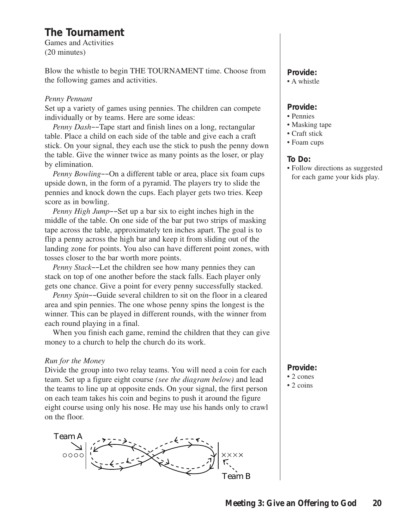# **The Tournament**

Games and Activities (20 minutes)

Blow the whistle to begin THE TOURNAMENT time. Choose from the following games and activities.

#### *Penny Pennant*

Set up a variety of games using pennies. The children can compete individually or by teams. Here are some ideas:

*Penny Dash––*Tape start and finish lines on a long, rectangular table. Place a child on each side of the table and give each a craft stick. On your signal, they each use the stick to push the penny down the table. Give the winner twice as many points as the loser, or play by elimination.

*Penny Bowling––*On a different table or area, place six foam cups upside down, in the form of a pyramid. The players try to slide the pennies and knock down the cups. Each player gets two tries. Keep score as in bowling.

*Penny High Jump––*Set up a bar six to eight inches high in the middle of the table. On one side of the bar put two strips of masking tape across the table, approximately ten inches apart. The goal is to flip a penny across the high bar and keep it from sliding out of the landing zone for points. You also can have different point zones, with tosses closer to the bar worth more points.

*Penny Stack––*Let the children see how many pennies they can stack on top of one another before the stack falls. Each player only gets one chance. Give a point for every penny successfully stacked.

*Penny Spin––*Guide several children to sit on the floor in a cleared area and spin pennies. The one whose penny spins the longest is the winner. This can be played in different rounds, with the winner from each round playing in a final.

When you finish each game, remind the children that they can give money to a church to help the church do its work.

#### *Run for the Money*

Divide the group into two relay teams. You will need a coin for each team. Set up a figure eight course *(see the diagram below)* and lead the teams to line up at opposite ends. On your signal, the first person on each team takes his coin and begins to push it around the figure eight course using only his nose. He may use his hands only to crawl on the floor.



# **Provide:**

• A whistle

#### **Provide:**

- Pennies
- Masking tape
- Craft stick
- Foam cups

#### **To Do:**

• Follow directions as suggested for each game your kids play.

### **Provide:**

- 2 cones
- 2 coins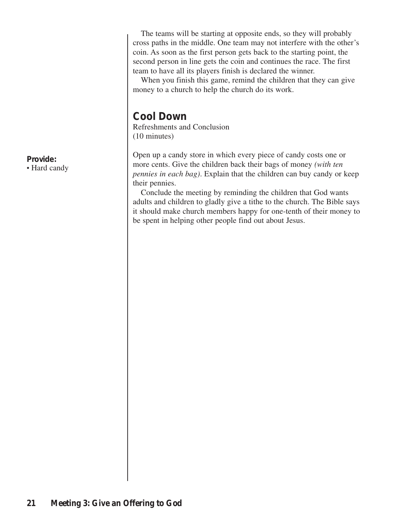The teams will be starting at opposite ends, so they will probably cross paths in the middle. One team may not interfere with the other's coin. As soon as the first person gets back to the starting point, the second person in line gets the coin and continues the race. The first team to have all its players finish is declared the winner.

When you finish this game, remind the children that they can give money to a church to help the church do its work.

# **Cool Down**

Refreshments and Conclusion (10 minutes)

Open up a candy store in which every piece of candy costs one or more cents. Give the children back their bags of money *(with ten pennies in each bag)*. Explain that the children can buy candy or keep their pennies.

Conclude the meeting by reminding the children that God wants adults and children to gladly give a tithe to the church. The Bible says it should make church members happy for one-tenth of their money to be spent in helping other people find out about Jesus.

**Provide:** • Hard candy